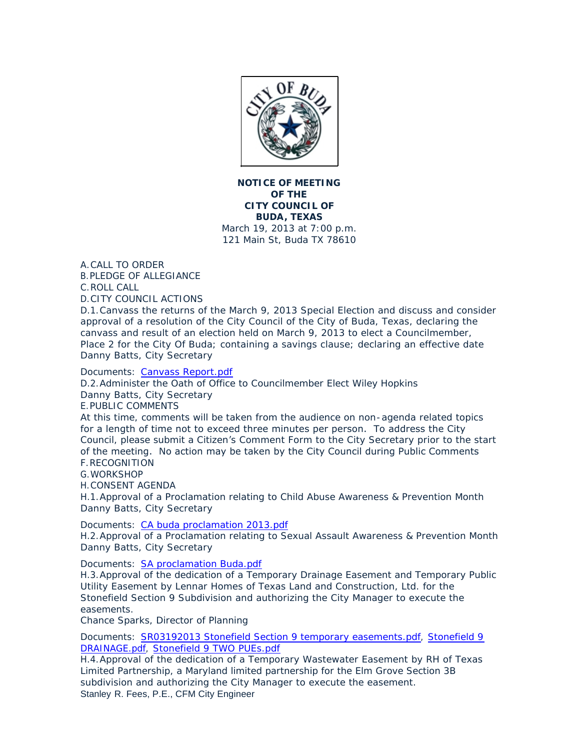

**NOTICE OF MEETING OF THE CITY COUNCIL OF BUDA, TEXAS** March 19, 2013 at 7:00 p.m. 121 Main St, Buda TX 78610

A. CALL TO ORDER PLEDGE OF ALLEGIANCE B.

C. ROLL CALL

CITY COUNCIL ACTIONS D.

D.1. Canvass the returns of the March 9, 2013 Special Election and discuss and consider approval of a resolution of the City Council of the City of Buda, Texas, declaring the canvass and result of an election held on March 9, 2013 to elect a Councilmember, Place 2 for the City Of Buda; containing a savings clause; declaring an effective date Danny Batts, City Secretary

## Documents: [Canvass Report.pdf](http://ci.buda.tx.us/AgendaCenter/ViewFile/Item/232?fileID=574)

D.2. Administer the Oath of Office to Councilmember Elect Wiley Hopkins Danny Batts, City Secretary

E. PUBLIC COMMENTS

At this time, comments will be taken from the audience on non-agenda related topics for a length of time not to exceed three minutes per person. To address the City Council, please submit a Citizen's Comment Form to the City Secretary prior to the start of the meeting. No action may be taken by the City Council during Public Comments RECOGNITION F.

G. WORKSHOP

CONSENT AGENDA H.

H.1. Approval of a Proclamation relating to Child Abuse Awareness & Prevention Month Danny Batts, City Secretary

Documents: [CA buda proclamation 2013.pdf](http://ci.buda.tx.us/AgendaCenter/ViewFile/Item/230?fileID=575)

H.2. Approval of a Proclamation relating to Sexual Assault Awareness & Prevention Month Danny Batts, City Secretary

Documents: [SA proclamation Buda.pdf](http://ci.buda.tx.us/AgendaCenter/ViewFile/Item/229?fileID=576)

H.3. Approval of the dedication of a Temporary Drainage Easement and Temporary Public Utility Easement by Lennar Homes of Texas Land and Construction, Ltd. for the Stonefield Section 9 Subdivision and authorizing the City Manager to execute the easements.

Chance Sparks, Director of Planning

Documents: [SR03192013 Stonefield Section 9 temporary easements.pdf](http://ci.buda.tx.us/AgendaCenter/ViewFile/Item/224?fileID=561), Stonefield 9 DRAINAGE.pdf, [Stonefield 9 TWO PUEs.pdf](http://ci.buda.tx.us/AgendaCenter/ViewFile/Item/224?fileID=563)

H.4. Approval of the dedication of a Temporary Wastewater Easement by RH of Texas Limited Partnership, a Maryland limited partnership for the Elm Grove Section 3B subdivision and authorizing the City Manager to execute the easement. Stanley R. Fees, P.E., CFM City Engineer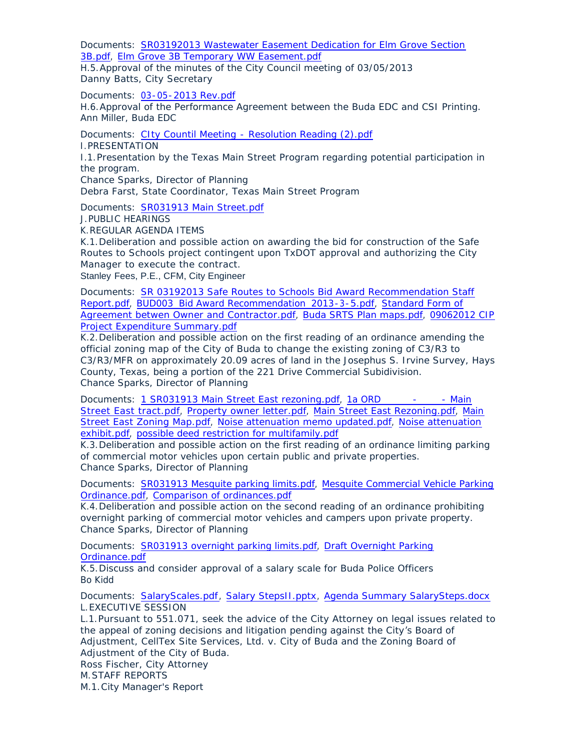Documents: SR03192013 Wastewater Easement Dedication for Elm Grove Section 3B.pdf, [Elm Grove 3B Temporary WW Easement.pdf](http://ci.buda.tx.us/AgendaCenter/ViewFile/Item/221?fileID=556)

H.5. Approval of the minutes of the City Council meeting of 03/05/2013 Danny Batts, City Secretary

Documents: [03-05-2013 Rev.pdf](http://ci.buda.tx.us/AgendaCenter/ViewFile/Item/228?fileID=580)

H.6. Approval of the Performance Agreement between the Buda EDC and CSI Printing. Ann Miller, Buda EDC

Documents: [CIty Countil Meeting - Resolution Reading \(2\).pdf](http://ci.buda.tx.us/AgendaCenter/ViewFile/Item/198?fileID=577) I. PRESENTATION I.1. Presentation by the Texas Main Street Program regarding potential participation in the program. Chance Sparks, Director of Planning

Debra Farst, State Coordinator, Texas Main Street Program

Documents: [SR031913 Main Street.pdf](http://ci.buda.tx.us/AgendaCenter/ViewFile/Item/225?fileID=560)

PUBLIC HEARINGS J.

REGULAR AGENDA ITEMS K.

K.1. Deliberation and possible action on awarding the bid for construction of the Safe Routes to Schools project contingent upon TxDOT approval and authorizing the City Manager to execute the contract.

Stanley Fees, P.E., CFM, City Engineer

Documents: SR 03192013 Safe Routes to Schools Bid Award Recommendation Staff Report.pdf, [BUD003\\_Bid Award Recommendation\\_2013-3-5.pdf,](http://ci.buda.tx.us/AgendaCenter/ViewFile/Item/220?fileID=551) [Standard Form of](http://ci.buda.tx.us/AgendaCenter/ViewFile/Item/220?fileID=552)  Agreement betwen Owner and Contractor.pdf, [Buda SRTS Plan maps.pdf](http://ci.buda.tx.us/AgendaCenter/ViewFile/Item/220?fileID=553), [09062012 CIP](http://ci.buda.tx.us/AgendaCenter/ViewFile/Item/220?fileID=554)  Project Expenditure Summary.pdf

K.2. Deliberation and possible action on the first reading of an ordinance amending the official zoning map of the City of Buda to change the existing zoning of C3/R3 to C3/R3/MFR on approximately 20.09 acres of land in the Josephus S. Irvine Survey, Hays County, Texas, being a portion of the 221 Drive Commercial Subidivision. Chance Sparks, Director of Planning

Documents: [1 SR031913 Main Street East rezoning.pdf,](http://ci.buda.tx.us/AgendaCenter/ViewFile/Item/223?fileID=565) 1a ORD \_\_\_\_\_\_- \_\_\_\_ - Main Street East tract.pdf, [Property owner letter.pdf,](http://ci.buda.tx.us/AgendaCenter/ViewFile/Item/223?fileID=572) [Main Street East Rezoning.pdf](http://ci.buda.tx.us/AgendaCenter/ViewFile/Item/223?fileID=567), [Main](http://ci.buda.tx.us/AgendaCenter/ViewFile/Item/223?fileID=568)  Street East Zoning Map.pdf, [Noise attenuation memo updated.pdf,](http://ci.buda.tx.us/AgendaCenter/ViewFile/Item/223?fileID=570) [Noise attenuation](http://ci.buda.tx.us/AgendaCenter/ViewFile/Item/223?fileID=569)  exhibit.pdf, [possible deed restriction for multifamily.pdf](http://ci.buda.tx.us/AgendaCenter/ViewFile/Item/223?fileID=571)

K.3. Deliberation and possible action on the first reading of an ordinance limiting parking of commercial motor vehicles upon certain public and private properties. Chance Sparks, Director of Planning

Documents: [SR031913 Mesquite parking limits.pdf](http://ci.buda.tx.us/AgendaCenter/ViewFile/Item/231?fileID=583), [Mesquite Commercial Vehicle P](http://ci.buda.tx.us/AgendaCenter/ViewFile/Item/231?fileID=582)arking Ordinance.pdf, [Comparison of ordinances.pdf](http://ci.buda.tx.us/AgendaCenter/ViewFile/Item/231?fileID=581)

K.4. Deliberation and possible action on the second reading of an ordinance prohibiting overnight parking of commercial motor vehicles and campers upon private property. Chance Sparks, Director of Planning

Documents: [SR031913 overnight parking limits.pdf,](http://ci.buda.tx.us/AgendaCenter/ViewFile/Item/222?fileID=579) Draft Overnight Parking Ordinance.pdf

K.5. Discuss and consider approval of a salary scale for Buda Police Officers Bo Kidd

Documents: [SalaryScales.pdf](http://ci.buda.tx.us/AgendaCenter/ViewFile/Item/226?fileID=558), [Salary StepsII.pptx,](http://ci.buda.tx.us/AgendaCenter/ViewFile/Item/226?fileID=559) [Agenda Summary SalarySteps.docx](http://ci.buda.tx.us/AgendaCenter/ViewFile/Item/226?fileID=564) L. EXECUTIVE SESSION

L.1. Pursuant to 551.071, seek the advice of the City Attorney on legal issues related to the appeal of zoning decisions and litigation pending against the City's Board of Adjustment, CellTex Site Services, Ltd. v. City of Buda and the Zoning Board of Adjustment of the City of Buda. Ross Fischer, City Attorney

M. STAFF REPORTS

M.1. City Manager's Report